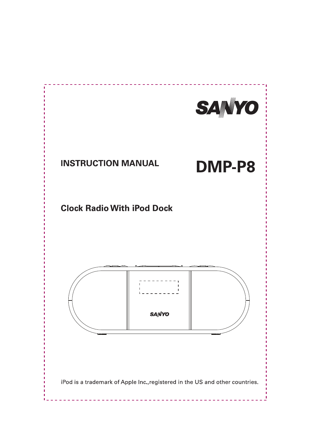

### **INSTRUCTION MANUAL**

# **DMP-P8**

### **Clock Radio With iPod Dock**



iPod is a trademark of Apple Inc., registered in the US and other countries.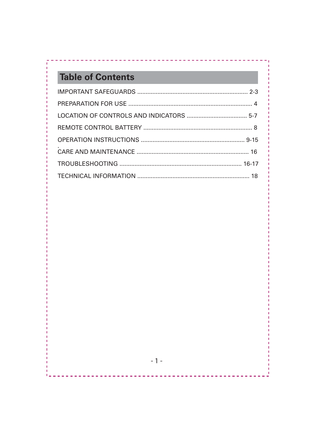# **Table of Contents**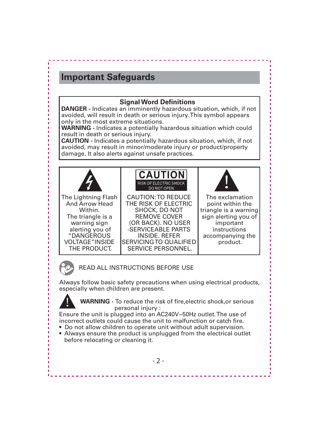#### **Signal Word Definitions**

**DANGER -** Indicates an imminently hazardous situation, which, if not avoided, will result in death or serious injury. This symbol appears only in the most extreme situations.

**WARNING -** Indicates a potentially hazardous situation which could result in death or serious injury.

**CAUTION -** Indicates a potentially hazardous situation, which, if not avoided, may result in minor/moderate injury or product/property damage. It also alerts against unsafe practices.





READ ALL INSTRUCTIONS BEFORE USE

Always follow basic safety precautions when using electrical products, especially when children are present.



 **WARNING -** To reduce the risk of fire,electric shock,or serious personal injury :

Ensure the unit is plugged into an AC240V~50Hz outlet. The use of incorrect outlets could cause the unit to malfunction or catch fire.

- Do not allow children to operate unit without adult supervision.
- Always ensure the product is unplugged from the electrical outlet before relocating or cleaning it.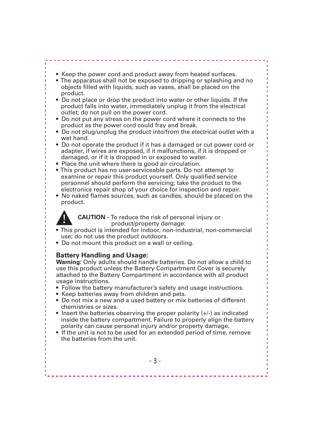- Keep the power cord and product away from heated surfaces.
- The apparatus shall not be exposed to dripping or splashing and no objects filled with liquids, such as vases, shall be placed on the product.
- Do not place or drop the product into water or other liquids. If the product falls into water, immediately unplug it from the electrical outlet; do not pull on the power cord.
- Do not put any stress on the power cord where it connects to the product as the power cord could fray and break.
- Do not plug/unplug the product into/from the electrical outlet with a wet hand.
- Do not operate the product if it has a damaged or cut power cord or adapter, if wires are exposed, if it malfunctions, if it is dropped or damaged, or if it is dropped in or exposed to water.
- Place the unit where there is good air circulation.
- This product has no user-serviceable parts. Do not attempt to examine or repair this product yourself. Only qualified service personnel should perform the servicing; take the product to the electronics repair shop of your choice for inspection and repair.
- No naked flames sources, such as candles, should be placed on the product.



 **CAUTION -** To reduce the risk of personal injury or product/property damage:

- This product is intended for indoor, non-industrial, non-commercial use; do not use the product outdoors.
- Do not mount this product on a wall or ceiling.

#### **Battery Handling and Usage:**

**Warning:** Only adults should handle batteries. Do not allow a child to use this product unless the Battery Compartment Cover is securely attached to the Battery Compartment in accordance with all product usage instructions.

- Follow the battery manufacturer's safety and usage instructions.
- Keep batteries away from children and pets.
- Do not mix a new and a used battery or mix batteries of different chemistries or sizes.
- Insert the batteries observing the proper polarity (+/-) as indicated inside the battery compartment. Failure to properly align the battery polarity can cause personal injury and/or property damage.
- If the unit is not to be used for an extended period of time, remove the batteries from the unit.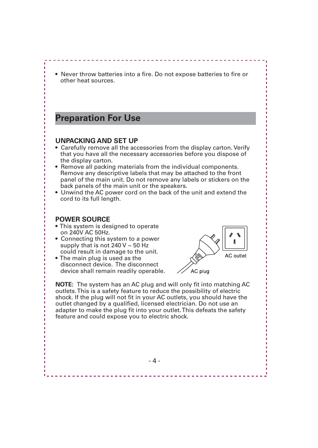• Never throw batteries into a fire. Do not expose batteries to fire or other heat sources.

### **Preparation For Use**

#### **UNPACKING AND SET UP**

- Carefully remove all the accessories from the display carton. Verify that you have all the necessary accessories before you dispose of the display carton.
- Remove all packing materials from the individual components. Remove any descriptive labels that may be attached to the front panel of the main unit. Do not remove any labels or stickers on the back panels of the main unit or the speakers.
- Unwind the AC power cord on the back of the unit and extend the cord to its full length.

#### **POWER SOURCE**

- This system is designed to operate on 240V AC 50Hz.
- Connecting this system to a power supply that is not  $240$  V  $\sim$  50 Hz could result in damage to the unit.
- The main plug is used as the disconnect device. The disconnect device shall remain readily operable.



**NOTE:** The system has an AC plug and will only fit into matching AC outlets.This is a safety feature to reduce the possibility of electric shock. If the plug will not fit in your AC outlets, you should have the outlet changed by a qualified, licensed electrician. Do not use an adapter to make the plug fit into your outlet.This defeats the safety feature and could expose you to electric shock.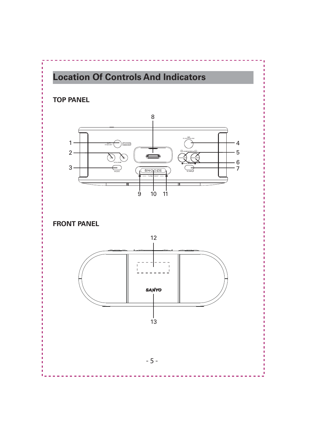# **Location Of Controls And Indicators**

#### **TOP PANEL**



**FRONT PANEL**

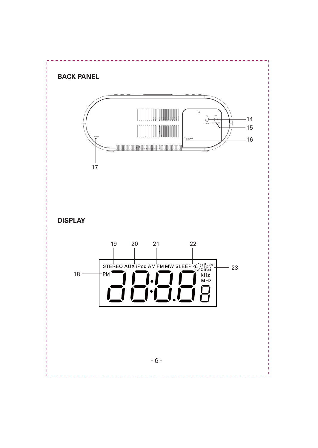#### **BACK PANEL**



**DISPLAY**

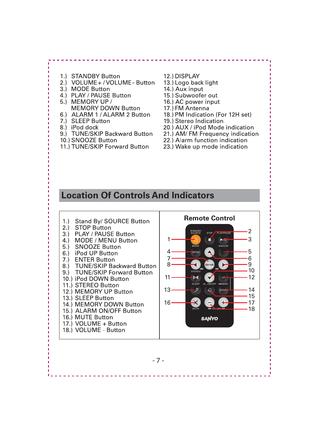- 1.) STANDBY Button
- 2.) VOLUME+/VOLUME-Button
- 3.) MODE Button
- 4.) PLAY / PAUSE Button
- 5.) MEMORY UP / **MEMORY DOWN Button**
- 6.) ALARM 1 / ALARM 2 Button
- 7.) SLEEP Button
- 8.) iPod dock
- 9.) TUNE/SKIP Backward Button
- 10.) SNOOZE Button
- 11.) TUNE/SKIP Forward Button
- 12.) DISPLAY
- 13.) Logo back light
- 14.) Aux input
- 15.) Subwoofer out
- 16.) AC power input
- 17) FM Antenna
- 18.) PM Indication (For 12H set)
- 19.) Stereo Indication
- 20.) AUX / iPod Mode indication
- 21.) AM/ FM Frequency indication
- 22.) Alarm function indication
- 23.) Wake up mode indication

### **Location Of Controls And Indicators**

**Remote Control**  $1.$ Stand Bv/ SOURCE Button  $2.1$ **STOP Button**  $\mathcal{P}$ PLAY / PAUSE Button  $3.$  $\overline{z}$ MODE / MENU Button  $4.$ п  $\blacktriangleright$  $5.1$ SNOOZE Button MODE SNOOZE 5  $6.1$ iPod UP Button  $\Delta$ **IENU**  $7<sup>1</sup>$ 6 **ENTER Button**  $7.$  $8<sub>1</sub>$ . 9 **TUNE/SKIP Backward Button** 8.)  $10$  $9.$ **TUNE/SKIP Forward Button** 11 Ъщ 12 10.) iPod DOWN Button **SLEEP** 11.) STEREO Button  $13$ 14 12.) MEMORY UP Button 15 13.) SLEEP Button  $16<sup>1</sup>$  $.17$ 14.) MEMORY DOWN Button 18 15.) ALARM ON/OFF Button 16.) MUTE Button **SANYO** 17.) VOLUME + Button 18.) VOLUME - Button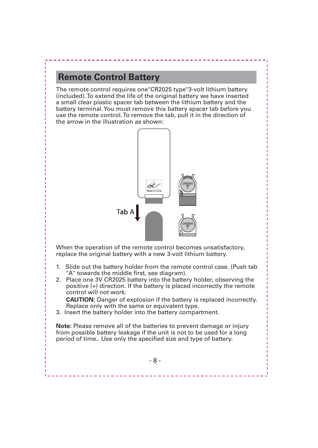### **Remote Control Battery**

The remote control requires one"CR2025 type"3-volt lithium battery (included). To extend the life of the original battery we have inserted a small clear plastic spacer tab between the lithium battery and the battery terminal. You must remove this battery spacer tab before you use the remote control. To remove the tab, pull it in the direction of the arrow in the illustration as shown:



When the operation of the remote control becomes unsatisfactory, replace the original battery with a new 3-volt lithium battery.

- 1. Slide out the battery holder from the remote control case. (Push tab "A" towards the middle first, see diagram).
- 2. Place one 3V CR2025 battery into the battery holder, observing the positive (+) direction. If the battery is placed incorrectly the remote control will not work.

 **CAUTION:** Danger of explosion if the battery is replaced incorrectly. Replace only with the same or equivalent type.

3. Insert the battery holder into the battery compartment.

**Note:** Please remove all of the batteries to prevent damage or injury from possible battery leakage if the unit is not to be used for a long period of time.. Use only the specified size and type of battery.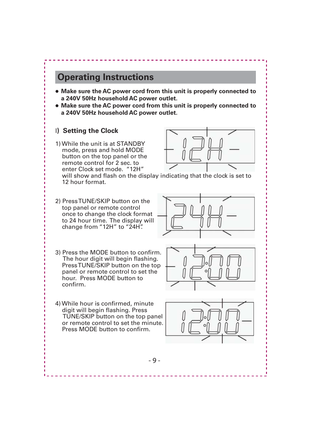- **Make sure the AC power cord from this unit is properly connected to a 240V 50Hz household AC power outlet.**
- **Make sure the AC power cord from this unit is properly connected to a 240V 50Hz household AC power outlet.**

#### І**) Setting the Clock**

1) While the unit is at STANDBY mode, press and hold MODE button on the top panel or the remote control for 2 sec. to enter Clock set mode. "12H"

 will show and flash on the display indicating that the clock is set to 12 hour format.

- 2) Press TUNE/SKIP button on the top panel or remote control once to change the clock format to 24 hour time. The display will change from "12H" to "24H".
- 3) Press the MODE button to confirm. The hour digit will begin flashing. Press TUNE/SKIP button on the top panel or remote control to set the hour. Press MODE button to confirm.





4) While hour is confirmed, minute digit will begin flashing. Press TUNE/SKIP button on the top panel or remote control to set the minute. Press MODE button to confirm.

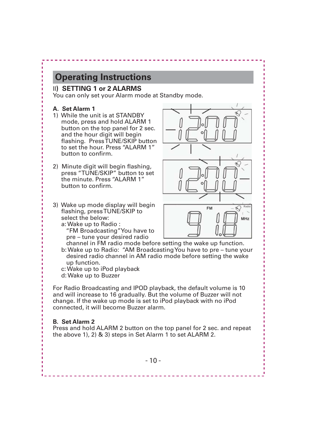#### ІІ**) SETTING 1 or 2 ALARMS**

You can only set your Alarm mode at Standby mode.

#### **A. Set Alarm 1**

- 1) While the unit is at STANDBY mode, press and hold ALARM 1 button on the top panel for 2 sec. and the hour digit will begin flashing. Press TUNE/SKIP button to set the hour. Press "ALARM 1" button to confirm.
- 2) Minute digit will begin flashing, press "TUNE/SKIP" button to set the minute. Press "ALARM 1" button to confirm.
- 3) Wake up mode display will begin flashing, press TUNE/SKIP to select the below:

a: Wake up to Radio :

 "FM Broadcasting"You have to pre – tune your desired radio

 channel in FM radio mode before setting the wake up function. b: Wake up to Radio: "AM Broadcasting You have to pre – tune your desired radio channel in AM radio mode before setting the wake up function.

c: Wake up to iPod playback

d: Wake up to Buzzer

For Radio Broadcasting and IPOD playback, the default volume is 10 and will increase to 16 gradually. But the volume of Buzzer will not change. If the wake up mode is set to iPod playback with no iPod connected, it will become Buzzer alarm.

#### **B. Set Alarm 2**

Press and hold ALARM 2 button on the top panel for 2 sec. and repeat the above 1), 2) & 3) steps in Set Alarm 1 to set ALARM 2.

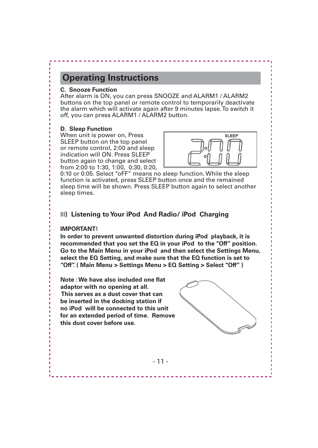#### **C. Snooze Function**

After alarm is ON, you can press SNOOZE and ALARM1 / ALARM2 buttons on the top panel or remote control to temporarily deactivate the alarm which will activate again after 9 minutes lapse. To switch it off, you can press ALARM1 / ALARM2 button.

#### **D. Sleep Function**

When unit is power on, Press SLEEP button on the top panel or remote control, 2:00 and sleep indication will ON. Press SLEEP button again to change and select from 2:00 to 1:30, 1:00, 0:30, 0:20,



0:10 or 0:05. Select "oFF" means no sleep function. While the sleep function is activated, press SLEEP button once and the remained sleep time will be shown. Press SLEEP button again to select another sleep times.

#### ІІІ**) Listening to Your iPod And Radio/ iPod Charging**

#### **IMPORTANT!**

**In order to prevent unwanted distortion during iPod playback, it is recommended that you set the EQ in your iPod to the "Off" position. Go to the Main Menu in your iPod and then select the Settings Menu, select the EQ Setting, and make sure that the EQ function is set to "Off". ( Main Menu > Settings Menu > EQ Setting > Select "Off" )**

**Note : We have also included one flat adaptor with no opening at all. This serves as a dust cover that can be inserted in the docking station if no iPod will be connected to this unit for an extended period of time. Remove this dust cover before use.**

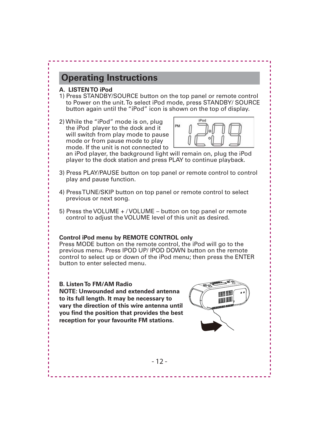#### **A. LISTEN TO iPod**

- 1) Press STANDBY/SOURCE button on the top panel or remote control to Power on the unit. To select iPod mode, press STANDBY/ SOURCE button again until the "iPod" icon is shown on the top of display.
- 2) While the "iPod" mode is on, plug the iPod player to the dock and it will switch from play mode to pause mode or from pause mode to play mode. If the unit is not connected to



 an iPod player, the background light will remain on, plug the iPod player to the dock station and press PLAY to continue playback.

- 3) Press PLAY/PAUSE button on top panel or remote control to control play and pause function.
- 4) Press TUNE/SKIP button on top panel or remote control to select previous or next song.
- 5) Press the VOLUME + / VOLUME button on top panel or remote control to adjust the VOLUME level of this unit as desired.

#### **Control iPod menu by REMOTE CONTROL only**

Press MODE button on the remote control, the iPod will go to the previous menu. Press IPOD UP/ IPOD DOWN button on the remote control to select up or down of the iPod menu; then press the ENTER button to enter selected menu.

#### **B. Listen To FM/AM Radio**

**NOTE: Unwounded and extended antenna to its full length. It may be necessary to vary the direction of this wire antenna until you find the position that provides the best reception for your favourite FM stations.**

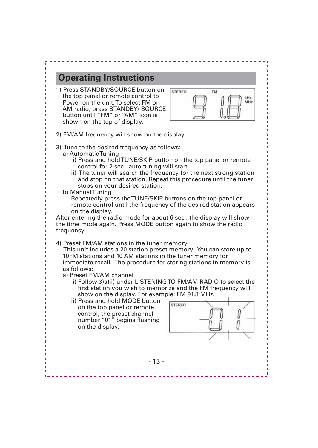1) Press STANDBY/SOURCE button on the top panel or remote control to Power on the unit. To select FM or AM radio, press STANDBY/ SOURCE button until "FM" or "AM" icon is shown on the top of display.



- 2) FM/AM frequency will show on the display.
- 3) Tune to the desired frequency as follows:
	- a) Automatic Tuning
		- i) Press and hold TUNE/SKIP button on the top panel or remote control for 2 sec., auto tuning will start.
		- ii) The tuner will search the frequency for the next strong station and stop on that station. Repeat this procedure until the tuner stops on your desired station.
	- b) Manual Tuning

 Repeatedly press the TUNE/SKIP buttons on the top panel or remote control until the frequency of the desired station appears on the display.

After entering the radio mode for about 6 sec., the display will show the time mode again. Press MODE button again to show the radio frequency.

4) Preset FM/AM stations in the tuner memory

 This unit includes a 20 station preset memory. You can store up to 10FM stations and 10 AM stations in the tuner memory for immediate recall. The procedure for storing stations in memory is as follows:

- a) Preset FM/AM channel
	- i) Follow 3)a)ii) under LISTENING TO FM/AM RADIO to select the first station you wish to memorize and the FM frequency will show on the display. For example: FM 91.8 MHz.
	- ii) Press and hold MODE button on the top panel or remote control, the preset channel number "01" begins flashing on the display.

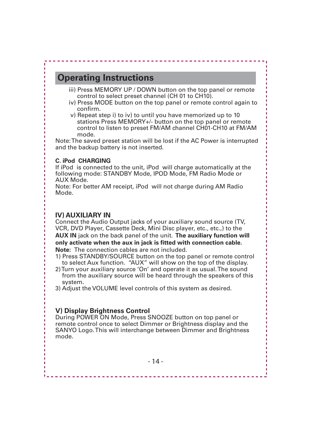- iii) Press MEMORY UP / DOWN button on the top panel or remote control to select preset channel (CH 01 to CH10).
- iv) Press MODE button on the top panel or remote control again to confirm.
- v) Repeat step i) to iv) to until you have memorized up to 10 stations Press MEMORY+/- button on the top panel or remote control to listen to preset FM/AM channel CH01-CH10 at FM/AM mode.

Note: The saved preset station will be lost if the AC Power is interrupted and the backup battery is not inserted.

#### **C. iPod CHARGING**

If iPod is connected to the unit, iPod will charge automatically at the following mode: STANDBY Mode, IPOD Mode, FM Radio Mode or AUX Mode.

Note: For better AM receipt, iPod will not charge during AM Radio Mode.

#### **IV) AUXILIARY IN**

Connect the Audio Output jacks of your auxiliary sound source (TV, VCR, DVD Player, Cassette Deck, Mini Disc player, etc., etc.,) to the **AUX IN** jack on the back panel of the unit. **The auxiliary function will only activate when the aux in jack is fitted with connection cable. Note:** The connection cables are not included.

- 1) Press STANDBY/SOURCE button on the top panel or remote control to select Aux function. "AUX" will show on the top of the display.
- 2) Turn your auxiliary source 'On' and operate it as usual. The sound from the auxiliary source will be heard through the speakers of this system.
- 3) Adjust the VOLUME level controls of this system as desired.

#### **V) Display Brightness Control**

During POWER ON Mode, Press SNOOZE button on top panel or remote control once to select Dimmer or Brightness display and the SANYO Logo. This will interchange between Dimmer and Brightness mode.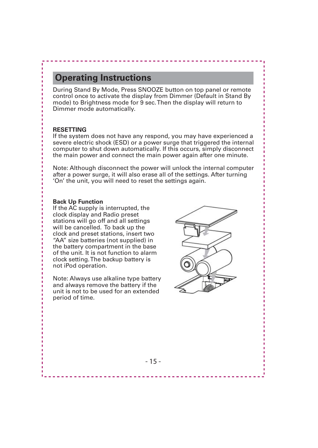During Stand By Mode, Press SNOOZE button on top panel or remote control once to activate the display from Dimmer (Default in Stand By mode) to Brightness mode for 9 sec. Then the display will return to Dimmer mode automatically.

#### **RESETTING**

If the system does not have any respond, you may have experienced a severe electric shock (ESD) or a power surge that triggered the internal computer to shut down automatically. If this occurs, simply disconnect the main power and connect the main power again after one minute.

Note: Although disconnect the power will unlock the internal computer after a power surge, it will also erase all of the settings. After turning 'On' the unit, you will need to reset the settings again.

#### **Back Up Function**

If the AC supply is interrupted, the clock display and Radio preset stations will go off and all settings will be cancelled. To back up the clock and preset stations, insert two "AA" size batteries (not supplied) in the battery compartment in the base of the unit. It is not function to alarm clock setting. The backup battery is not iPod operation.

Note: Always use alkaline type battery and always remove the battery if the unit is not to be used for an extended period of time.

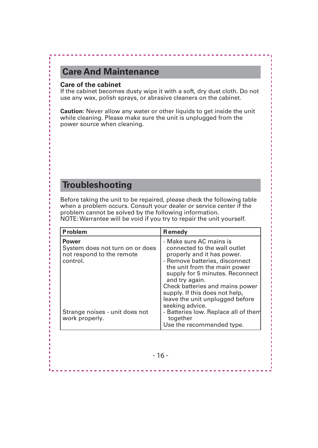### **Care And Maintenance**

#### **Care of the cabinet**

If the cabinet becomes dusty wipe it with a soft, dry dust cloth. Do not use any wax, polish sprays, or abrasive cleaners on the cabinet.

**Caution:** Never allow any water or other liquids to get inside the unit while cleaning. Please make sure the unit is unplugged from the power source when cleaning.

### **Troubleshooting**

Before taking the unit to be repaired, please check the following table when a problem occurs. Consult your dealer or service center if the problem cannot be solved by the following information. NOTE: Warrantee will be void if you try to repair the unit yourself.

| <b>Problem</b>                                                                    | <b>Remedy</b>                                                                                                                                                                                                |
|-----------------------------------------------------------------------------------|--------------------------------------------------------------------------------------------------------------------------------------------------------------------------------------------------------------|
| Power<br>System does not turn on or does<br>not respond to the remote<br>control. | - Make sure AC mains is<br>connected to the wall outlet<br>properly and it has power.<br>- Remove batteries, disconnect<br>the unit from the main power<br>supply for 5 minutes. Reconnect<br>and try again. |
| Strange noises - unit does not<br>work properly.                                  | Check batteries and mains power<br>supply. If this does not help,<br>leave the unit unplugged before<br>seeking advice.<br>- Batteries low. Replace all of them<br>together<br>Use the recommended type.     |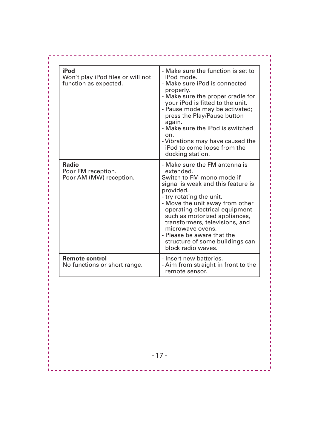| iPod<br>Won't play iPod files or will not<br>function as expected. | - Make sure the function is set to<br>iPod mode.<br>- Make sure iPod is connected<br>properly.<br>- Make sure the proper cradle for<br>your iPod is fitted to the unit.<br>- Pause mode may be activated;<br>press the Play/Pause button<br>again.<br>- Make sure the iPod is switched<br>on.<br>- Vibrations may have caused the<br>iPod to come loose from the<br>docking station.                      |
|--------------------------------------------------------------------|-----------------------------------------------------------------------------------------------------------------------------------------------------------------------------------------------------------------------------------------------------------------------------------------------------------------------------------------------------------------------------------------------------------|
| Radio<br>Poor FM reception.<br>Poor AM (MW) reception.             | - Make sure the FM antenna is<br>extended.<br>Switch to FM mono mode if<br>signal is weak and this feature is<br>provided.<br>- try rotating the unit.<br>- Move the unit away from other<br>operating electrical equipment<br>such as motorized appliances,<br>transformers, televisions, and<br>microwave ovens.<br>- Please be aware that the<br>structure of some buildings can<br>block radio waves. |
| <b>Remote control</b><br>No functions or short range.              | - Insert new batteries.<br>- Aim from straight in front to the<br>remote sensor.                                                                                                                                                                                                                                                                                                                          |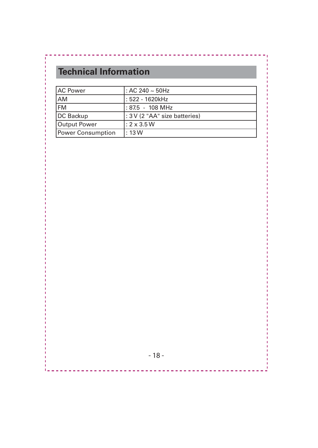# **Technical Information**

| <b>AC Power</b>          | : AC 240 $\sim$ 50Hz          |
|--------------------------|-------------------------------|
| AM                       | : 522 - 1620kHz               |
| <b>FM</b>                | : 87.5 - 108 MHz              |
| DC Backup                | : 3 V (2 "AA" size batteries) |
| <b>Output Power</b>      | $: 2 \times 3.5$ W            |
| <b>Power Consumption</b> | : 13W                         |